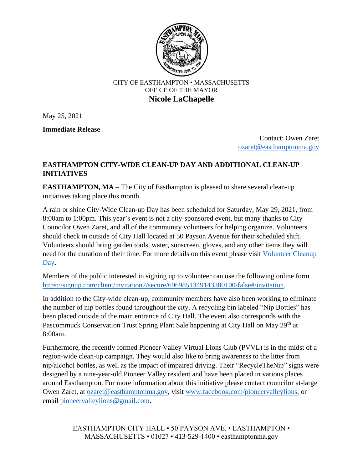

## CITY OF EASTHAMPTON • MASSACHUSETTS OFFICE OF THE MAYOR **Nicole LaChapelle**

May 25, 2021

**Immediate Release** 

 Contact: Owen Zaret [ozaret@easthamptonma.gov](mailto:ozaret@easthamptonma.gov)

## **EASTHAMPTON CITY-WIDE CLEAN-UP DAY AND ADDITIONAL CLEAN-UP INITIATIVES**

**EASTHAMPTON, MA** – The City of Easthampton is pleased to share several clean-up initiatives taking place this month.

A rain or shine City-Wide Clean-up Day has been scheduled for Saturday, May 29, 2021, from 8:00am to 1:00pm. This year's event is not a city-sponsored event, but many thanks to City Councilor Owen Zaret, and all of the community volunteers for helping organize. Volunteers should check in outside of City Hall located at 50 Payson Avenue for their scheduled shift. Volunteers should bring garden tools, water, sunscreen, gloves, and any other items they will need for the duration of their time. For more details on this event please visit Volunteer Cleanup [Day.](https://www.dropbox.com/s/pbdlua0fehulfje/Volunteer%20FYI%20Cleanup%20Day.pdf?dl=0&fbclid=IwAR0j6RdWsF0pH1VqXC5GmcDJA_zs9woX7CI48poWhkKgdojMH0FPxBtsR2Q)

Members of the public interested in signing up to volunteer can use the following online form [https://signup.com/client/invitation2/secure/6969851349143380100/false#/invitation.](https://signup.com/client/invitation2/secure/6969851349143380100/false#/invitation)

In addition to the City-wide clean-up, community members have also been working to eliminate the number of nip bottles found throughout the city. A recycling bin labeled "Nip Bottles" has been placed outside of the main entrance of City Hall. The event also corresponds with the Pascommuck Conservation Trust Spring Plant Sale happening at City Hall on May 29<sup>th</sup> at 8:00am.

Furthermore, the recently formed Pioneer Valley Virtual Lions Club (PVVL) is in the midst of a region-wide clean-up campaign. They would also like to bring awareness to the litter from nip/alcohol bottles, as well as the impact of impaired driving. Their "RecycleTheNip" signs were designed by a nine-year-old Pioneer Valley resident and have been placed in various places around Easthampton. For more information about this initiative please contact councilor at-large Owen Zaret, at [ozaret@easthamptonma.gov,](mailto:ozaret@easthamptonma.gov) visit [www.facebook.com/pioneervalleylions,](http://www.facebook.com/pioneervalleylions) or email [pioneervalleylions@gmail.com.](mailto:pioneervalleylions@gmail.com)

> EASTHAMPTON CITY HALL • 50 PAYSON AVE. • EASTHAMPTON • MASSACHUSETTS • 01027 • 413-529-1400 • easthamptonma.gov